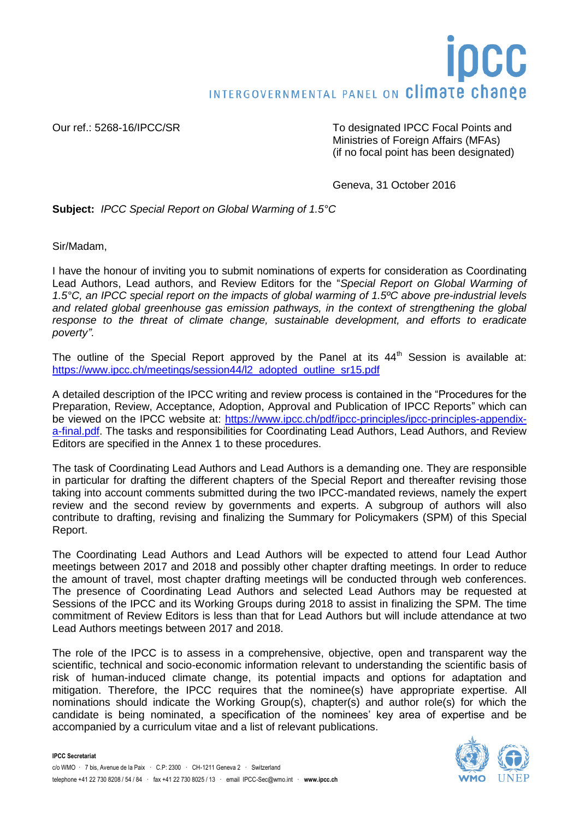## INTERGOVERNMENTAL PANEL ON Climate change

Our ref.: 5268-16/IPCC/SR To designated IPCC Focal Points and Ministries of Foreign Affairs (MFAs) (if no focal point has been designated)

Geneva, 31 October 2016

**Subject:** *IPCC Special Report on Global Warming of 1.5°C*

Sir/Madam,

I have the honour of inviting you to submit nominations of experts for consideration as Coordinating Lead Authors, Lead authors, and Review Editors for the "*Special Report on Global Warming of 1.5°C, an IPCC special report on the impacts of global warming of 1.5ºC above pre-industrial levels and related global greenhouse gas emission pathways, in the context of strengthening the global response to the threat of climate change, sustainable development, and efforts to eradicate poverty"*.

The outline of the Special Report approved by the Panel at its  $44<sup>th</sup>$  Session is available at: [https://www.ipcc.ch/meetings/session44/l2\\_adopted\\_outline\\_sr15.pdf](https://www.ipcc.ch/meetings/session44/l2_adopted_outline_sr15.pdf)

A detailed description of the IPCC writing and review process is contained in the "Procedures for the Preparation, Review, Acceptance, Adoption, Approval and Publication of IPCC Reports" which can be viewed on the IPCC website at: [https://www.ipcc.ch/pdf/ipcc-principles/ipcc-principles-appendix](https://www.ipcc.ch/pdf/ipcc-principles/ipcc-principles-appendix-a-final.pdf)[a-final.pdf.](https://www.ipcc.ch/pdf/ipcc-principles/ipcc-principles-appendix-a-final.pdf) The tasks and responsibilities for Coordinating Lead Authors, Lead Authors, and Review Editors are specified in the Annex 1 to these procedures.

The task of Coordinating Lead Authors and Lead Authors is a demanding one. They are responsible in particular for drafting the different chapters of the Special Report and thereafter revising those taking into account comments submitted during the two IPCC-mandated reviews, namely the expert review and the second review by governments and experts. A subgroup of authors will also contribute to drafting, revising and finalizing the Summary for Policymakers (SPM) of this Special Report.

The Coordinating Lead Authors and Lead Authors will be expected to attend four Lead Author meetings between 2017 and 2018 and possibly other chapter drafting meetings. In order to reduce the amount of travel, most chapter drafting meetings will be conducted through web conferences. The presence of Coordinating Lead Authors and selected Lead Authors may be requested at Sessions of the IPCC and its Working Groups during 2018 to assist in finalizing the SPM. The time commitment of Review Editors is less than that for Lead Authors but will include attendance at two Lead Authors meetings between 2017 and 2018.

The role of the IPCC is to assess in a comprehensive, objective, open and transparent way the scientific, technical and socio-economic information relevant to understanding the scientific basis of risk of human-induced climate change, its potential impacts and options for adaptation and mitigation. Therefore, the IPCC requires that the nominee(s) have appropriate expertise. All nominations should indicate the Working Group(s), chapter(s) and author role(s) for which the candidate is being nominated, a specification of the nominees' key area of expertise and be accompanied by a curriculum vitae and a list of relevant publications.